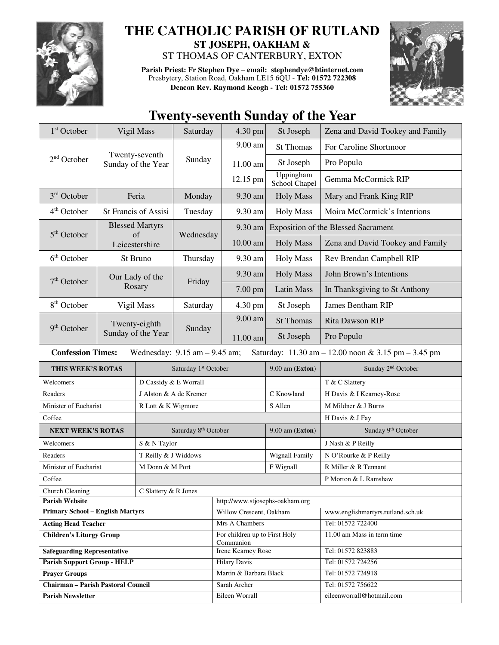

## **THE CATHOLIC PARISH OF RUTLAND ST JOSEPH, OAKHAM &**

ST THOMAS OF CANTERBURY, EXTON

**Parish Priest: Fr Stephen Dye** – **email: stephendye@btinternet.com** Presbytery, Station Road, Oakham LE15 6QU - **Tel: 01572 722308 Deacon Rev. Raymond Keogh - Tel: 01572 755360** 



## **Twenty-seventh Sunday of the Year**

| 1 <sup>st</sup> October                                                                                              |                                      | Vigil Mass                       | Saturday                         | 4.30 pm                                    | St Joseph                    | Zena and David Tookey and Family               |
|----------------------------------------------------------------------------------------------------------------------|--------------------------------------|----------------------------------|----------------------------------|--------------------------------------------|------------------------------|------------------------------------------------|
|                                                                                                                      |                                      |                                  |                                  | 9.00 am                                    | <b>St Thomas</b>             | For Caroline Shortmoor                         |
| $2nd$ October                                                                                                        | Twenty-seventh<br>Sunday of the Year |                                  | Sunday                           | 11.00 am                                   | St Joseph                    | Pro Populo                                     |
|                                                                                                                      |                                      |                                  |                                  | 12.15 pm                                   | Uppingham<br>School Chapel   | Gemma McCormick RIP                            |
| $3rd$ October                                                                                                        | Feria                                |                                  | Monday                           | 9.30 am                                    | <b>Holy Mass</b>             | Mary and Frank King RIP                        |
| $4th$ October<br><b>St Francis of Assisi</b>                                                                         |                                      | Tuesday                          | 9.30 am                          | <b>Holy Mass</b>                           | Moira McCormick's Intentions |                                                |
|                                                                                                                      |                                      | <b>Blessed Martyrs</b>           |                                  | 9.30 am                                    |                              | <b>Exposition of the Blessed Sacrament</b>     |
| $5th$ October                                                                                                        |                                      | of<br>Leicestershire             | Wednesday                        | 10.00 am                                   | <b>Holy Mass</b>             | Zena and David Tookey and Family               |
| 6 <sup>th</sup> October                                                                                              | St Bruno                             |                                  | Thursday                         | 9.30 am                                    | <b>Holy Mass</b>             | Rev Brendan Campbell RIP                       |
| $7th$ October                                                                                                        |                                      | Our Lady of the                  | Friday                           | 9.30 am                                    | <b>Holy Mass</b>             | John Brown's Intentions                        |
|                                                                                                                      | Rosary                               |                                  |                                  | 7.00 pm                                    | <b>Latin Mass</b>            | In Thanksgiving to St Anthony                  |
| 8 <sup>th</sup> October                                                                                              |                                      | Vigil Mass                       | Saturday                         | 4.30 pm                                    | St Joseph                    | James Bentham RIP                              |
|                                                                                                                      | Twenty-eighth<br>Sunday of the Year  |                                  | Sunday                           | $9.00$ am                                  | <b>St Thomas</b>             | Rita Dawson RIP                                |
| $9th$ October                                                                                                        |                                      |                                  |                                  | 11.00 am                                   | St Joseph                    | Pro Populo                                     |
| <b>Confession Times:</b><br>Saturday: 11.30 am - 12.00 noon & 3.15 pm - 3.45 pm<br>Wednesday: $9.15$ am $- 9.45$ am; |                                      |                                  |                                  |                                            |                              |                                                |
| THIS WEEK'S ROTAS                                                                                                    |                                      | Saturday 1 <sup>st</sup> October |                                  |                                            | $9.00$ am (Exton)            | Sunday 2 <sup>nd</sup> October                 |
| Welcomers                                                                                                            |                                      | D Cassidy & E Worrall            |                                  |                                            |                              |                                                |
|                                                                                                                      |                                      |                                  |                                  |                                            |                              | T & C Slattery                                 |
| Readers                                                                                                              |                                      | J Alston & A de Kremer           |                                  |                                            | C Knowland                   | H Davis & I Kearney-Rose                       |
| Minister of Eucharist                                                                                                |                                      | R Lott & K Wigmore               |                                  |                                            | S Allen                      | M Mildner & J Burns                            |
| Coffee                                                                                                               |                                      |                                  |                                  |                                            |                              | H Davis & J Fay                                |
| <b>NEXT WEEK'S ROTAS</b>                                                                                             |                                      |                                  | Saturday 8 <sup>th</sup> October |                                            | 9.00 am (Exton)              | Sunday 9th October                             |
| Welcomers                                                                                                            |                                      | S & N Taylor                     |                                  |                                            |                              | J Nash & P Reilly                              |
| Readers                                                                                                              |                                      | T Reilly & J Widdows             |                                  |                                            | Wignall Family               | N O'Rourke & P Reilly                          |
| Minister of Eucharist                                                                                                |                                      | M Donn & M Port                  |                                  |                                            | F Wignall                    | R Miller & R Tennant                           |
| Coffee                                                                                                               |                                      |                                  |                                  |                                            |                              | P Morton & L Ramshaw                           |
| Church Cleaning                                                                                                      |                                      | C Slattery & R Jones             |                                  |                                            |                              |                                                |
| <b>Parish Website</b>                                                                                                |                                      |                                  |                                  | http://www.stjosephs-oakham.org            |                              |                                                |
| <b>Primary School - English Martyrs</b>                                                                              |                                      |                                  |                                  | Willow Crescent, Oakham                    |                              | www.englishmartyrs.rutland.sch.uk              |
| <b>Acting Head Teacher</b>                                                                                           |                                      |                                  |                                  | Mrs A Chambers                             |                              | Tel: 01572 722400                              |
| <b>Children's Liturgy Group</b>                                                                                      |                                      |                                  |                                  | For children up to First Holy<br>Communion |                              | 11.00 am Mass in term time                     |
| <b>Safeguarding Representative</b>                                                                                   |                                      |                                  |                                  | <b>Irene Kearney Rose</b>                  |                              | Tel: 01572 823883                              |
| Parish Support Group - HELP                                                                                          |                                      |                                  |                                  | <b>Hilary Davis</b>                        |                              | Tel: 01572 724256                              |
| <b>Prayer Groups</b>                                                                                                 |                                      |                                  |                                  | Martin & Barbara Black                     |                              | Tel: 01572 724918                              |
| <b>Chairman - Parish Pastoral Council</b><br><b>Parish Newsletter</b>                                                |                                      |                                  |                                  | Sarah Archer<br>Eileen Worrall             |                              | Tel: 01572 756622<br>eileenworrall@hotmail.com |